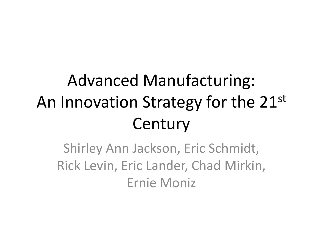# Advanced Manufacturing: An Innovation Strategy for the 21st **Century**

Shirley Ann Jackson, Eric Schmidt, Rick Levin, Eric Lander, Chad Mirkin, Ernie Moniz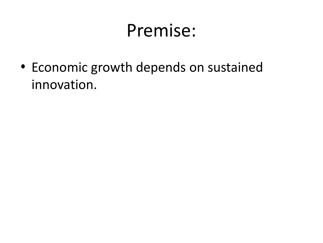### Premise:

• Economic growth depends on sustained innovation.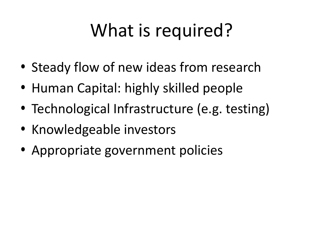# What is required?

- Steady flow of new ideas from research
- Human Capital: highly skilled people
- Technological Infrastructure (e.g. testing)
- Knowledgeable investors
- Appropriate government policies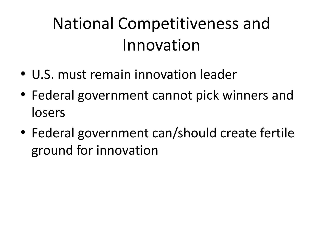# National Competitiveness and Innovation

- U.S. must remain innovation leader
- Federal government cannot pick winners and losers
- Federal government can/should create fertile ground for innovation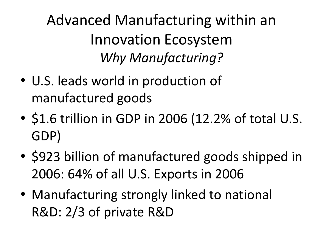Advanced Manufacturing within an Innovation Ecosystem *Why Manufacturing?*

- U.S. leads world in production of manufactured goods
- \$1.6 trillion in GDP in 2006 (12.2% of total U.S. GDP)
- \$923 billion of manufactured goods shipped in 2006: 64% of all U.S. Exports in 2006
- Manufacturing strongly linked to national R&D: 2/3 of private R&D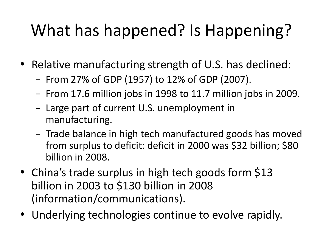## What has happened? Is Happening?

- Relative manufacturing strength of U.S. has declined:
	- From 27% of GDP (1957) to 12% of GDP (2007).
	- From 17.6 million jobs in 1998 to 11.7 million jobs in 2009.
	- Large part of current U.S. unemployment in manufacturing.
	- Trade balance in high tech manufactured goods has moved from surplus to deficit: deficit in 2000 was \$32 billion; \$80 billion in 2008.
- China's trade surplus in high tech goods form \$13 billion in 2003 to \$130 billion in 2008 (information/communications).
- Underlying technologies continue to evolve rapidly.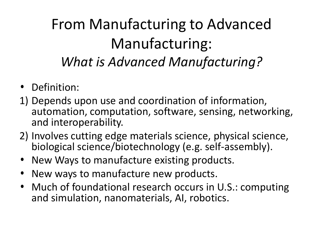#### From Manufacturing to Advanced Manufacturing: *What is Advanced Manufacturing?*

- Definition:
- 1) Depends upon use and coordination of information, automation, computation, software, sensing, networking, and interoperability.
- 2) Involves cutting edge materials science, physical science, biological science/biotechnology (e.g. self-assembly).
- New Ways to manufacture existing products.
- New ways to manufacture new products.
- Much of foundational research occurs in U.S.: computing and simulation, nanomaterials, AI, robotics.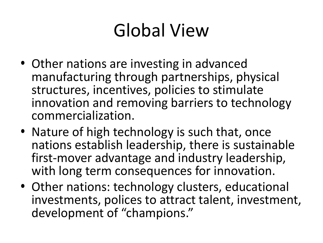# Global View

- Other nations are investing in advanced manufacturing through partnerships, physical structures, incentives, policies to stimulate innovation and removing barriers to technology commercialization.
- Nature of high technology is such that, once nations establish leadership, there is sustainable first-mover advantage and industry leadership, with long term consequences for innovation.
- Other nations: technology clusters, educational investments, polices to attract talent, investment, development of "champions."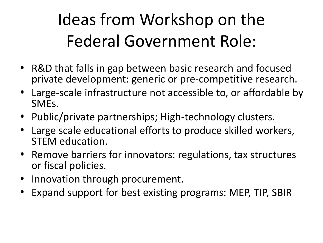# Ideas from Workshop on the Federal Government Role:

- R&D that falls in gap between basic research and focused private development: generic or pre-competitive research.
- Large-scale infrastructure not accessible to, or affordable by SMEs.
- Public/private partnerships; High-technology clusters.
- Large scale educational efforts to produce skilled workers, STEM education.
- Remove barriers for innovators: regulations, tax structures or fiscal policies.
- Innovation through procurement.
- Expand support for best existing programs: MEP, TIP, SBIR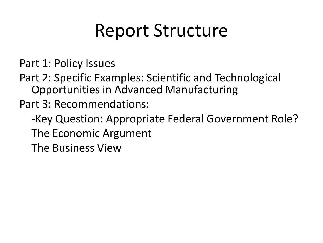# Report Structure

Part 1: Policy Issues

Part 2: Specific Examples: Scientific and Technological Opportunities in Advanced Manufacturing

Part 3: Recommendations:

-Key Question: Appropriate Federal Government Role? The Economic Argument The Business View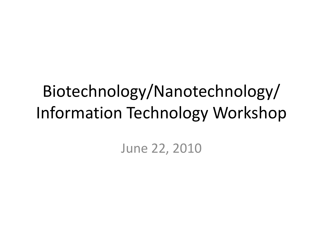### Biotechnology/Nanotechnology/ Information Technology Workshop

June 22, 2010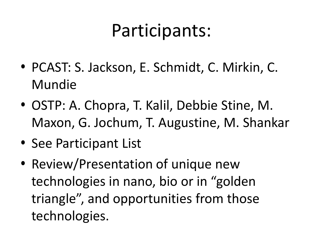# Participants:

- PCAST: S. Jackson, E. Schmidt, C. Mirkin, C. Mundie
- OSTP: A. Chopra, T. Kalil, Debbie Stine, M. Maxon, G. Jochum, T. Augustine, M. Shankar
- See Participant List
- Review/Presentation of unique new technologies in nano, bio or in "golden triangle", and opportunities from those technologies.